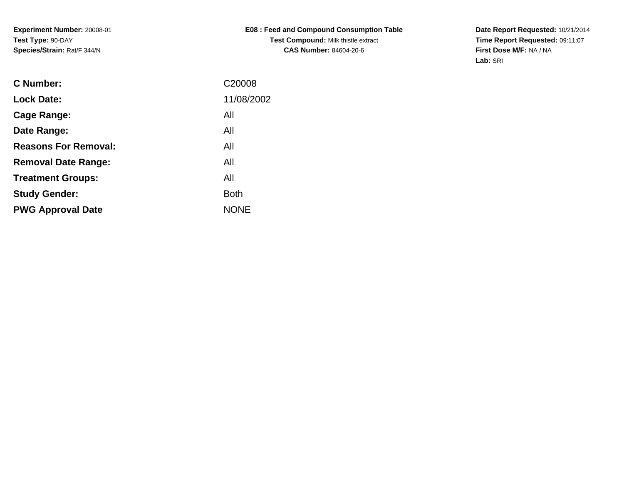**Experiment Number:** 20008-01**Test Type:** 90-DAY**Species/Strain:** Rat/F 344/N

**E08 : Feed and Compound Consumption TableTest Compound:** Milk thistle extract**CAS Number:** 84604-20-6

**Date Report Requested:** 10/21/2014 **Time Report Requested:** 09:11:07**First Dose M/F:** NA / NA**Lab:** SRI

| <b>C</b> Number:            | C <sub>20008</sub> |
|-----------------------------|--------------------|
| <b>Lock Date:</b>           | 11/08/2002         |
| Cage Range:                 | All                |
| Date Range:                 | All                |
| <b>Reasons For Removal:</b> | All                |
| <b>Removal Date Range:</b>  | All                |
| <b>Treatment Groups:</b>    | All                |
| <b>Study Gender:</b>        | <b>Both</b>        |
| <b>PWG Approval Date</b>    | <b>NONE</b>        |
|                             |                    |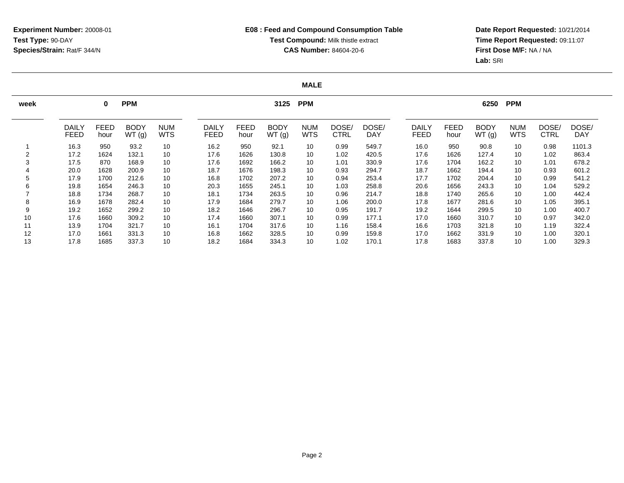**Date Report Requested:** 10/21/2014 **Time Report Requested:** 09:11:07**First Dose M/F:** NA / NA**Lab:** SRI

#### **MALE**

| week |                      | 0                   | <b>PPM</b>           |                          |                             | <b>PPM</b><br>3125 |                      |                          |               |                     |                             |              | <b>PPM</b><br>6250   |                   |                      |                     |  |  |
|------|----------------------|---------------------|----------------------|--------------------------|-----------------------------|--------------------|----------------------|--------------------------|---------------|---------------------|-----------------------------|--------------|----------------------|-------------------|----------------------|---------------------|--|--|
|      | DAILY<br><b>FEED</b> | <b>FEED</b><br>hour | <b>BODY</b><br>WT(g) | <b>NUM</b><br><b>WTS</b> | <b>DAILY</b><br><b>FEED</b> | FEED<br>hour       | <b>BODY</b><br>WT(g) | <b>NUM</b><br><b>WTS</b> | DOSE/<br>CTRL | DOSE/<br><b>DAY</b> | <b>DAILY</b><br><b>FEED</b> | FEED<br>hour | <b>BODY</b><br>WT(g) | <b>NUM</b><br>WTS | DOSE/<br><b>CTRL</b> | DOSE/<br><b>DAY</b> |  |  |
|      | 16.3                 | 950                 | 93.2                 | 10                       | 16.2                        | 950                | 92.1                 | 10                       | 0.99          | 549.7               | 16.0                        | 950          | 90.8                 | 10                | 0.98                 | 1101.3              |  |  |
| 2    | 17.2                 | 1624                | 132.1                | 10                       | 17.6                        | 1626               | 130.8                | 10                       | 1.02          | 420.5               | 17.6                        | 1626         | 127.4                | 10                | 1.02                 | 863.4               |  |  |
| 3    | 17.5                 | 870                 | 168.9                | 10                       | 17.6                        | 1692               | 166.2                | 10                       | 1.01          | 330.9               | 17.6                        | 1704         | 162.2                | 10                | 1.01                 | 678.2               |  |  |
|      | 20.0                 | 1628                | 200.9                | 10                       | 18.7                        | 1676               | 198.3                | 10                       | 0.93          | 294.7               | 18.7                        | 1662         | 194.4                | 10                | 0.93                 | 601.2               |  |  |
| 5    | 17.9                 | 1700                | 212.6                | 10                       | 16.8                        | 1702               | 207.2                | 10                       | 0.94          | 253.4               | 17.7                        | 1702         | 204.4                | 10                | 0.99                 | 541.2               |  |  |
| 6    | 19.8                 | 1654                | 246.3                | 10                       | 20.3                        | 1655               | 245.1                | 10                       | 1.03          | 258.8               | 20.6                        | 1656         | 243.3                | 10                | 1.04                 | 529.2               |  |  |
|      | 18.8                 | 1734                | 268.7                | 10                       | 18.1                        | 1734               | 263.5                | 10                       | 0.96          | 214.7               | 18.8                        | 1740         | 265.6                | 10                | 1.00                 | 442.4               |  |  |
| 8    | 16.9                 | 1678                | 282.4                | 10                       | 17.9                        | 1684               | 279.7                | 10                       | 1.06          | 200.0               | 17.8                        | 1677         | 281.6                | 10                | 1.05                 | 395.1               |  |  |
| 9    | 19.2                 | 1652                | 299.2                | 10                       | 18.2                        | 1646               | 296.7                | 10                       | 0.95          | 191.7               | 19.2                        | 1644         | 299.5                | 10                | 1.00                 | 400.7               |  |  |
| 10   | 17.6                 | 1660                | 309.2                | 10                       | 17.4                        | 1660               | 307.1                | 10                       | 0.99          | 177.1               | 17.0                        | 1660         | 310.7                | 10                | 0.97                 | 342.0               |  |  |
| 11   | 13.9                 | 1704                | 321.7                | 10                       | 16.1                        | 1704               | 317.6                | 10                       | 1.16          | 158.4               | 16.6                        | 1703         | 321.8                | 10                | 1.19                 | 322.4               |  |  |
| 12   | 17.0                 | 1661                | 331.3                | 10                       | 16.8                        | 1662               | 328.5                | 10                       | 0.99          | 159.8               | 17.0                        | 1662         | 331.9                | 10                | 1.00                 | 320.1               |  |  |
| 13   | 17.8                 | 1685                | 337.3                | 10                       | 18.2                        | 1684               | 334.3                | 10                       | 1.02          | 170.1               | 17.8                        | 1683         | 337.8                | 10                | 1.00                 | 329.3               |  |  |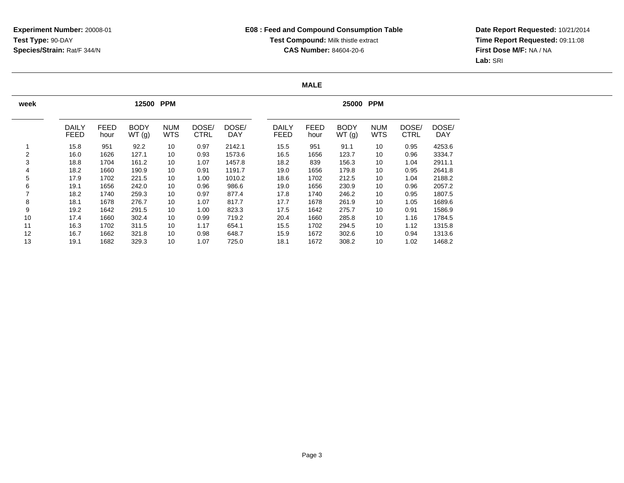**Date Report Requested:** 10/21/2014 **Time Report Requested:** 09:11:08**First Dose M/F:** NA / NA**Lab:** SRI

#### **MALE**

| week |                             |                     | 12500                | <b>PPM</b>               |                      |                     | 25000<br><b>PPM</b>         |                     |                      |                          |                      |                     |  |  |
|------|-----------------------------|---------------------|----------------------|--------------------------|----------------------|---------------------|-----------------------------|---------------------|----------------------|--------------------------|----------------------|---------------------|--|--|
|      | <b>DAILY</b><br><b>FEED</b> | <b>FEED</b><br>hour | <b>BODY</b><br>WT(g) | <b>NUM</b><br><b>WTS</b> | DOSE/<br><b>CTRL</b> | DOSE/<br><b>DAY</b> | <b>DAILY</b><br><b>FEED</b> | <b>FEED</b><br>hour | <b>BODY</b><br>WT(g) | <b>NUM</b><br><b>WTS</b> | DOSE/<br><b>CTRL</b> | DOSE/<br><b>DAY</b> |  |  |
|      | 15.8                        | 951                 | 92.2                 | 10                       | 0.97                 | 2142.1              | 15.5                        | 951                 | 91.1                 | 10                       | 0.95                 | 4253.6              |  |  |
| 2    | 16.0                        | 1626                | 127.1                | 10                       | 0.93                 | 1573.6              | 16.5                        | 1656                | 123.7                | 10                       | 0.96                 | 3334.7              |  |  |
| 3    | 18.8                        | 1704                | 161.2                | 10                       | 1.07                 | 1457.8              | 18.2                        | 839                 | 156.3                | 10                       | 1.04                 | 2911.1              |  |  |
| 4    | 18.2                        | 1660                | 190.9                | 10                       | 0.91                 | 1191.7              | 19.0                        | 1656                | 179.8                | 10                       | 0.95                 | 2641.8              |  |  |
| 5    | 17.9                        | 1702                | 221.5                | 10                       | 1.00                 | 1010.2              | 18.6                        | 1702                | 212.5                | 10                       | 1.04                 | 2188.2              |  |  |
| 6    | 19.1                        | 1656                | 242.0                | 10                       | 0.96                 | 986.6               | 19.0                        | 1656                | 230.9                | 10                       | 0.96                 | 2057.2              |  |  |
| 7    | 18.2                        | 1740                | 259.3                | 10                       | 0.97                 | 877.4               | 17.8                        | 1740                | 246.2                | 10                       | 0.95                 | 1807.5              |  |  |
| 8    | 18.1                        | 1678                | 276.7                | 10                       | 1.07                 | 817.7               | 17.7                        | 1678                | 261.9                | 10                       | 1.05                 | 1689.6              |  |  |
| 9    | 19.2                        | 1642                | 291.5                | 10                       | 1.00                 | 823.3               | 17.5                        | 1642                | 275.7                | 10                       | 0.91                 | 1586.9              |  |  |
| 10   | 17.4                        | 1660                | 302.4                | 10                       | 0.99                 | 719.2               | 20.4                        | 1660                | 285.8                | 10                       | 1.16                 | 1784.5              |  |  |
| 11   | 16.3                        | 1702                | 311.5                | 10                       | 1.17                 | 654.1               | 15.5                        | 1702                | 294.5                | 10                       | 1.12                 | 1315.8              |  |  |
| 12   | 16.7                        | 1662                | 321.8                | 10                       | 0.98                 | 648.7               | 15.9                        | 1672                | 302.6                | 10                       | 0.94                 | 1313.6              |  |  |
| 13   | 19.1                        | 1682                | 329.3                | 10                       | 1.07                 | 725.0               | 18.1                        | 1672                | 308.2                | 10                       | 1.02                 | 1468.2              |  |  |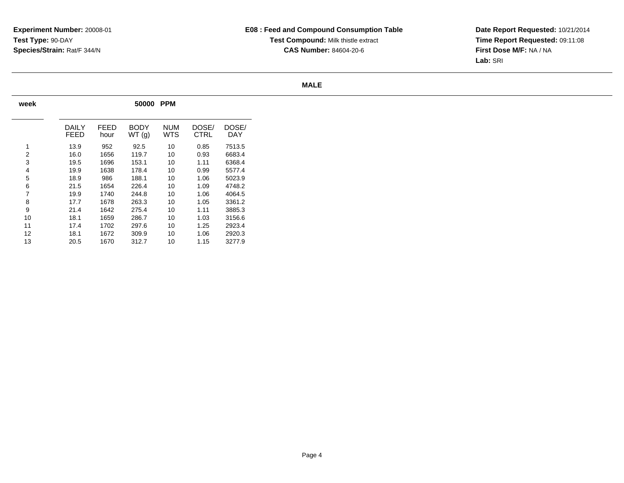**Date Report Requested:** 10/21/2014 **Time Report Requested:** 09:11:08**First Dose M/F:** NA / NA**Lab:** SRI

#### **MALE**

| week | 50000<br><b>PPM</b> |              |               |                   |               |              |  |  |  |  |  |  |  |
|------|---------------------|--------------|---------------|-------------------|---------------|--------------|--|--|--|--|--|--|--|
|      | DAILY<br>FEED       | FEED<br>hour | BODY<br>WT(g) | <b>NUM</b><br>WTS | DOSE/<br>CTRL | DOSE/<br>DAY |  |  |  |  |  |  |  |
| 1    | 13.9                | 952          | 92.5          | 10                | 0.85          | 7513.5       |  |  |  |  |  |  |  |
| 2    | 16.0                | 1656         | 119.7         | 10                | 0.93          | 6683.4       |  |  |  |  |  |  |  |
| 3    | 19.5                | 1696         | 153.1         | 10                | 1.11          | 6368.4       |  |  |  |  |  |  |  |
| 4    | 19.9                | 1638         | 178.4         | 10                | 0.99          | 5577.4       |  |  |  |  |  |  |  |
| 5    | 18.9                | 986          | 188.1         | 10                | 1.06          | 5023.9       |  |  |  |  |  |  |  |
| 6    | 21.5                | 1654         | 226.4         | 10                | 1.09          | 4748.2       |  |  |  |  |  |  |  |
| 7    | 19.9                | 1740         | 244.8         | 10                | 1.06          | 4064.5       |  |  |  |  |  |  |  |
| 8    | 17.7                | 1678         | 263.3         | 10                | 1.05          | 3361.2       |  |  |  |  |  |  |  |
| 9    | 21.4                | 1642         | 275.4         | 10                | 1.11          | 3885.3       |  |  |  |  |  |  |  |
| 10   | 18.1                | 1659         | 286.7         | 10                | 1.03          | 3156.6       |  |  |  |  |  |  |  |
| 11   | 17.4                | 1702         | 297.6         | 10                | 1.25          | 2923.4       |  |  |  |  |  |  |  |
| 12   | 18.1                | 1672         | 309.9         | 10                | 1.06          | 2920.3       |  |  |  |  |  |  |  |
| 13   | 20.5                | 1670         | 312.7         | 10                | 1.15          | 3277.9       |  |  |  |  |  |  |  |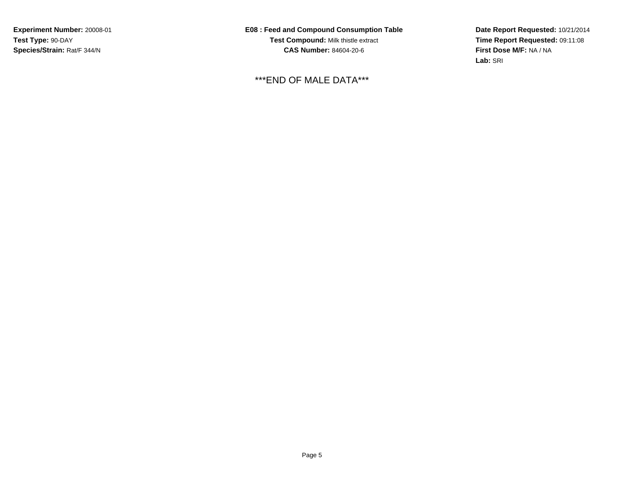**Experiment Number:** 20008-01**Test Type:** 90-DAY**Species/Strain:** Rat/F 344/N

**E08 : Feed and Compound Consumption TableTest Compound:** Milk thistle extract**CAS Number:** 84604-20-6

\*\*\*END OF MALE DATA\*\*\*

**Date Report Requested:** 10/21/2014 **Time Report Requested:** 09:11:08**First Dose M/F:** NA / NA**Lab:** SRI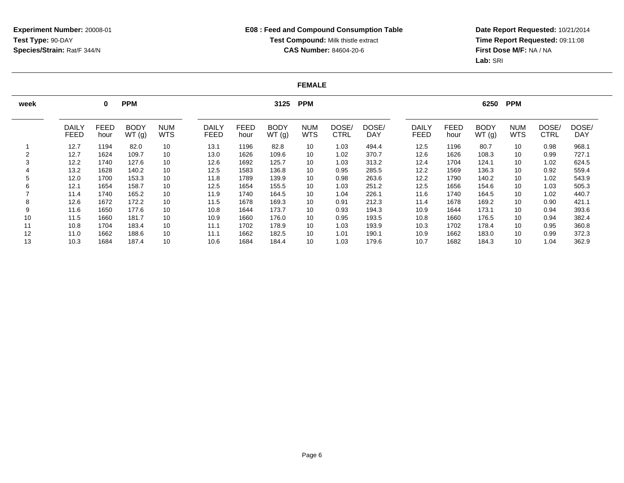**Date Report Requested:** 10/21/2014 **Time Report Requested:** 09:11:08**First Dose M/F:** NA / NA**Lab:** SRI

#### **FEMALE**

| week | <b>PPM</b><br>0             |              |                      |                          |                             | 3125<br><b>PPM</b> |                      |                          |               |                     |                             |              | <b>PPM</b><br>6250   |                          |               |                     |  |  |
|------|-----------------------------|--------------|----------------------|--------------------------|-----------------------------|--------------------|----------------------|--------------------------|---------------|---------------------|-----------------------------|--------------|----------------------|--------------------------|---------------|---------------------|--|--|
|      | <b>DAILY</b><br><b>FEED</b> | FEED<br>hour | <b>BODY</b><br>WT(g) | <b>NUM</b><br><b>WTS</b> | <b>DAILY</b><br><b>FEED</b> | FEED<br>hour       | <b>BODY</b><br>WT(g) | <b>NUM</b><br><b>WTS</b> | DOSE/<br>CTRL | DOSE/<br><b>DAY</b> | <b>DAILY</b><br><b>FEED</b> | FEED<br>hour | <b>BODY</b><br>WT(g) | <b>NUM</b><br><b>WTS</b> | DOSE/<br>CTRL | DOSE/<br><b>DAY</b> |  |  |
|      | 12.7                        | 1194         | 82.0                 | 10                       | 13.1                        | 1196               | 82.8                 | 10                       | 1.03          | 494.4               | 12.5                        | 1196         | 80.7                 | 10                       | 0.98          | 968.1               |  |  |
|      | 12.7                        | 1624         | 109.7                | 10                       | 13.0                        | 1626               | 109.6                | 10                       | 1.02          | 370.7               | 12.6                        | 1626         | 108.3                | 10                       | 0.99          | 727.1               |  |  |
| 3    | 12.2                        | 1740         | 127.6                | 10                       | 12.6                        | 1692               | 125.7                | 10                       | 1.03          | 313.2               | 12.4                        | 1704         | 124.1                | 10                       | 1.02          | 624.5               |  |  |
|      | 13.2                        | 1628         | 140.2                | 10                       | 12.5                        | 1583               | 136.8                | 10                       | 0.95          | 285.5               | 12.2                        | 1569         | 136.3                | 10                       | 0.92          | 559.4               |  |  |
| 5    | 12.0                        | 1700         | 153.3                | 10                       | 11.8                        | 1789               | 139.9                | 10                       | 0.98          | 263.6               | 12.2                        | 1790         | 140.2                | 10                       | 1.02          | 543.9               |  |  |
| 6    | 12.1                        | 1654         | 158.7                | 10                       | 12.5                        | 1654               | 155.5                | 10                       | 1.03          | 251.2               | 12.5                        | 1656         | 154.6                | 10                       | 1.03          | 505.3               |  |  |
|      | 11.4                        | 1740         | 165.2                | 10                       | 11.9                        | 1740               | 164.5                | 10                       | 1.04          | 226.1               | 11.6                        | 1740         | 164.5                | 10                       | 1.02          | 440.7               |  |  |
| 8    | 12.6                        | 1672         | 172.2                | 10                       | 11.5                        | 1678               | 169.3                | 10                       | 0.91          | 212.3               | 11.4                        | 1678         | 169.2                | 10                       | 0.90          | 421.1               |  |  |
| 9    | 11.6                        | 1650         | 177.6                | 10                       | 10.8                        | 1644               | 173.7                | 10                       | 0.93          | 194.3               | 10.9                        | 1644         | 173.1                | 10                       | 0.94          | 393.6               |  |  |
| 10   | 11.5                        | 1660         | 181.7                | 10                       | 10.9                        | 1660               | 176.0                | 10                       | 0.95          | 193.5               | 10.8                        | 1660         | 176.5                | 10                       | 0.94          | 382.4               |  |  |
| 11   | 10.8                        | 1704         | 183.4                | 10                       | 11.1                        | 1702               | 178.9                | 10                       | 1.03          | 193.9               | 10.3                        | 1702         | 178.4                | 10                       | 0.95          | 360.8               |  |  |
| 12   | 11.0                        | 1662         | 188.6                | 10                       | 11.1                        | 1662               | 182.5                | 10                       | 1.01          | 190.1               | 10.9                        | 1662         | 183.0                | 10                       | 0.99          | 372.3               |  |  |
| 13   | 10.3                        | 1684         | 187.4                | 10                       | 10.6                        | 1684               | 184.4                | 10                       | 1.03          | 179.6               | 10.7                        | 1682         | 184.3                | 10                       | 1.04          | 362.9               |  |  |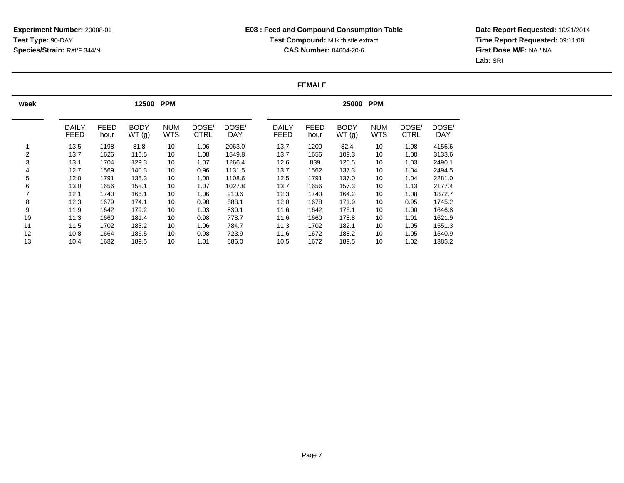**Date Report Requested:** 10/21/2014 **Time Report Requested:** 09:11:08**First Dose M/F:** NA / NA**Lab:** SRI

#### **FEMALE**

| week           |                             |                     | 12500 PPM            |                          |                      |                     | 25000 PPM                   |                     |                      |                          |                      |                     |  |  |
|----------------|-----------------------------|---------------------|----------------------|--------------------------|----------------------|---------------------|-----------------------------|---------------------|----------------------|--------------------------|----------------------|---------------------|--|--|
|                | <b>DAILY</b><br><b>FEED</b> | <b>FEED</b><br>hour | <b>BODY</b><br>WT(g) | <b>NUM</b><br><b>WTS</b> | DOSE/<br><b>CTRL</b> | DOSE/<br><b>DAY</b> | <b>DAILY</b><br><b>FEED</b> | <b>FEED</b><br>hour | <b>BODY</b><br>WT(g) | <b>NUM</b><br><b>WTS</b> | DOSE/<br><b>CTRL</b> | DOSE/<br><b>DAY</b> |  |  |
|                | 13.5                        | 1198                | 81.8                 | 10                       | 1.06                 | 2063.0              | 13.7                        | 1200                | 82.4                 | 10                       | 1.08                 | 4156.6              |  |  |
| $\overline{2}$ | 13.7                        | 1626                | 110.5                | 10                       | 1.08                 | 1549.8              | 13.7                        | 1656                | 109.3                | 10                       | 1.08                 | 3133.6              |  |  |
| 3              | 13.1                        | 1704                | 129.3                | 10                       | 1.07                 | 1266.4              | 12.6                        | 839                 | 126.5                | 10                       | 1.03                 | 2490.1              |  |  |
| 4              | 12.7                        | 1569                | 140.3                | 10                       | 0.96                 | 1131.5              | 13.7                        | 1562                | 137.3                | 10                       | 1.04                 | 2494.5              |  |  |
| 5              | 12.0                        | 1791                | 135.3                | 10                       | 1.00                 | 1108.6              | 12.5                        | 1791                | 137.0                | 10                       | 1.04                 | 2281.0              |  |  |
| 6              | 13.0                        | 1656                | 158.1                | 10                       | 1.07                 | 1027.8              | 13.7                        | 1656                | 157.3                | 10                       | 1.13                 | 2177.4              |  |  |
| 7              | 12.1                        | 1740                | 166.1                | 10                       | 1.06                 | 910.6               | 12.3                        | 1740                | 164.2                | 10                       | 1.08                 | 1872.7              |  |  |
| 8              | 12.3                        | 1679                | 174.1                | 10                       | 0.98                 | 883.1               | 12.0                        | 1678                | 171.9                | 10                       | 0.95                 | 1745.2              |  |  |
| 9              | 11.9                        | 1642                | 179.2                | 10                       | 1.03                 | 830.1               | 11.6                        | 1642                | 176.1                | 10                       | 1.00                 | 1646.8              |  |  |
| 10             | 11.3                        | 1660                | 181.4                | 10                       | 0.98                 | 778.7               | 11.6                        | 1660                | 178.8                | 10                       | 1.01                 | 1621.9              |  |  |
| 11             | 11.5                        | 1702                | 183.2                | 10                       | 1.06                 | 784.7               | 11.3                        | 1702                | 182.1                | 10                       | 1.05                 | 1551.3              |  |  |
| 12             | 10.8                        | 1664                | 186.5                | 10                       | 0.98                 | 723.9               | 11.6                        | 1672                | 188.2                | 10                       | 1.05                 | 1540.9              |  |  |
| 13             | 10.4                        | 1682                | 189.5                | 10                       | 1.01                 | 686.0               | 10.5                        | 1672                | 189.5                | 10                       | 1.02                 | 1385.2              |  |  |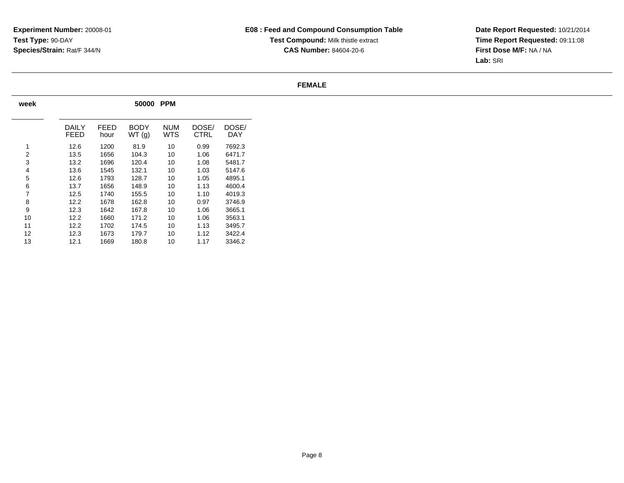**Date Report Requested:** 10/21/2014 **Time Report Requested:** 09:11:08**First Dose M/F:** NA / NA**Lab:** SRI

#### **FEMALE**

| week |               |              | 50000                 | <b>PPM</b>               |               |              |  |  |  |  |  |
|------|---------------|--------------|-----------------------|--------------------------|---------------|--------------|--|--|--|--|--|
|      | DAILY<br>FEED | FEED<br>hour | <b>BODY</b><br>WT (g) | <b>NUM</b><br><b>WTS</b> | DOSE/<br>CTRL | DOSE/<br>DAY |  |  |  |  |  |
| 1    | 12.6          | 1200         | 81.9                  | 10                       | 0.99          | 7692.3       |  |  |  |  |  |
| 2    | 13.5          | 1656         | 104.3                 | 10                       | 1.06          | 6471.7       |  |  |  |  |  |
| 3    | 13.2          | 1696         | 120.4                 | 10                       | 1.08          | 5481.7       |  |  |  |  |  |
| 4    | 13.6          | 1545         | 132.1                 | 10                       | 1.03          | 5147.6       |  |  |  |  |  |
| 5    | 12.6          | 1793         | 128.7                 | 10                       | 1.05          | 4895.1       |  |  |  |  |  |
| 6    | 13.7          | 1656         | 148.9                 | 10                       | 1.13          | 4600.4       |  |  |  |  |  |
| 7    | 12.5          | 1740         | 155.5                 | 10                       | 1.10          | 4019.3       |  |  |  |  |  |
| 8    | 12.2          | 1678         | 162.8                 | 10                       | 0.97          | 3746.9       |  |  |  |  |  |
| 9    | 12.3          | 1642         | 167.8                 | 10                       | 1.06          | 3665.1       |  |  |  |  |  |
| 10   | 12.2          | 1660         | 171.2                 | 10                       | 1.06          | 3563.1       |  |  |  |  |  |
| 11   | 12.2          | 1702         | 174.5                 | 10                       | 1.13          | 3495.7       |  |  |  |  |  |
| 12   | 12.3          | 1673         | 179.7                 | 10                       | 1.12          | 3422.4       |  |  |  |  |  |
| 13   | 12.1          | 1669         | 180.8                 | 10                       | 1.17          | 3346.2       |  |  |  |  |  |